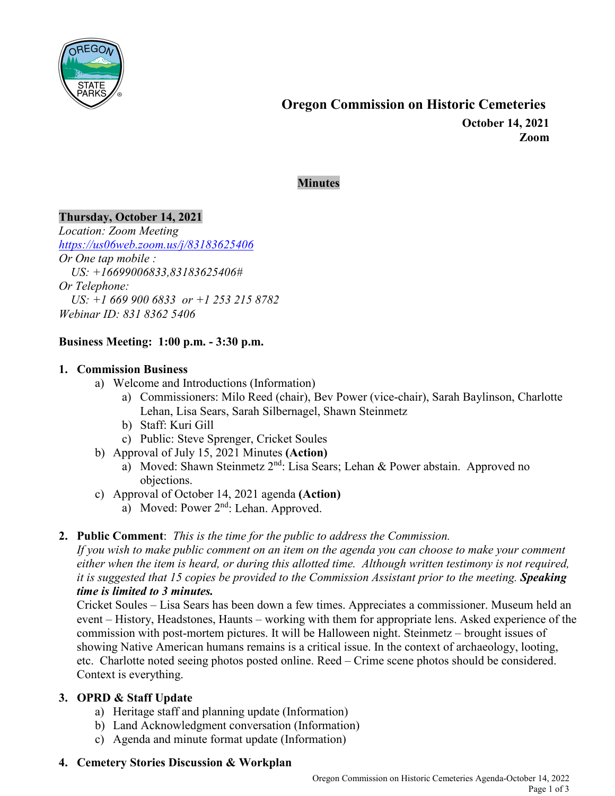

#### **Minutes**

## **Thursday, October 14, 2021**

*Location: Zoom Meeting <https://us06web.zoom.us/j/83183625406> Or One tap mobile : US: +16699006833,83183625406# Or Telephone: US: +1 669 900 6833 or +1 253 215 8782 Webinar ID: 831 8362 5406*

#### **Business Meeting: 1:00 p.m. - 3:30 p.m.**

#### **1. Commission Business**

- a) Welcome and Introductions (Information)
	- a) Commissioners: Milo Reed (chair), Bev Power (vice-chair), Sarah Baylinson, Charlotte Lehan, Lisa Sears, Sarah Silbernagel, Shawn Steinmetz
	- b) Staff: Kuri Gill
	- c) Public: Steve Sprenger, Cricket Soules
- b) Approval of July 15, 2021 Minutes **(Action)**
	- a) Moved: Shawn Steinmetz  $2^{nd}$ : Lisa Sears; Lehan & Power abstain. Approved no objections.
- c) Approval of October 14, 2021 agenda **(Action)**
	- a) Moved: Power 2<sup>nd</sup>: Lehan. Approved.

## **2. Public Comment**: *This is the time for the public to address the Commission.*

*If you wish to make public comment on an item on the agenda you can choose to make your comment either when the item is heard, or during this allotted time. Although written testimony is not required, it is suggested that 15 copies be provided to the Commission Assistant prior to the meeting. Speaking time is limited to 3 minutes.*

Cricket Soules – Lisa Sears has been down a few times. Appreciates a commissioner. Museum held an event – History, Headstones, Haunts – working with them for appropriate lens. Asked experience of the commission with post-mortem pictures. It will be Halloween night. Steinmetz – brought issues of showing Native American humans remains is a critical issue. In the context of archaeology, looting, etc. Charlotte noted seeing photos posted online. Reed – Crime scene photos should be considered. Context is everything.

## **3. OPRD & Staff Update**

- a) Heritage staff and planning update (Information)
- b) Land Acknowledgment conversation (Information)
- c) Agenda and minute format update (Information)
- **4. Cemetery Stories Discussion & Workplan**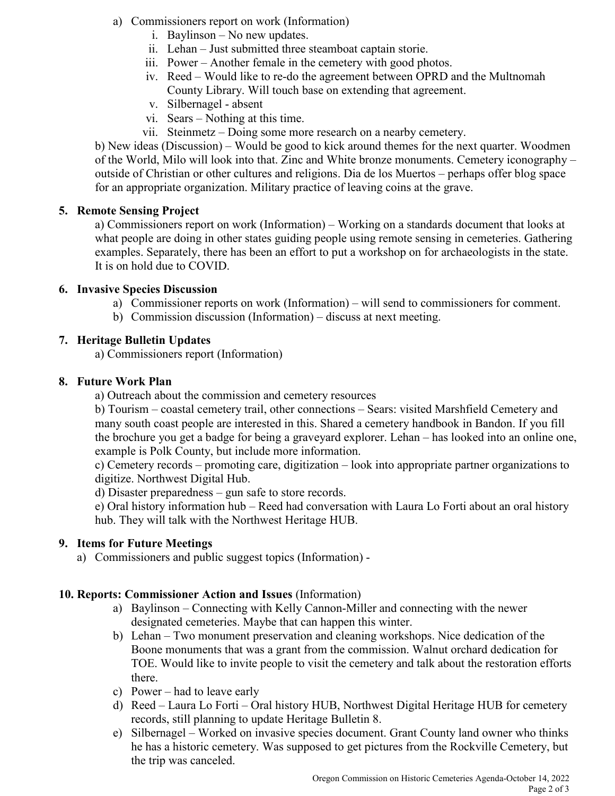- a) Commissioners report on work (Information)
	- i. Baylinson No new updates.
	- ii. Lehan Just submitted three steamboat captain storie.
	- iii. Power Another female in the cemetery with good photos.
	- iv. Reed Would like to re-do the agreement between OPRD and the Multnomah County Library. Will touch base on extending that agreement.
	- v. Silbernagel absent
	- vi. Sears Nothing at this time.
	- vii. Steinmetz Doing some more research on a nearby cemetery.

b) New ideas (Discussion) – Would be good to kick around themes for the next quarter. Woodmen of the World, Milo will look into that. Zinc and White bronze monuments. Cemetery iconography – outside of Christian or other cultures and religions. Dia de los Muertos – perhaps offer blog space for an appropriate organization. Military practice of leaving coins at the grave.

# **5. Remote Sensing Project**

a) Commissioners report on work (Information) – Working on a standards document that looks at what people are doing in other states guiding people using remote sensing in cemeteries. Gathering examples. Separately, there has been an effort to put a workshop on for archaeologists in the state. It is on hold due to COVID.

## **6. Invasive Species Discussion**

- a) Commissioner reports on work (Information) will send to commissioners for comment.
- b) Commission discussion (Information) discuss at next meeting.

# **7. Heritage Bulletin Updates**

a) Commissioners report (Information)

# **8. Future Work Plan**

a) Outreach about the commission and cemetery resources

b) Tourism – coastal cemetery trail, other connections – Sears: visited Marshfield Cemetery and many south coast people are interested in this. Shared a cemetery handbook in Bandon. If you fill the brochure you get a badge for being a graveyard explorer. Lehan – has looked into an online one, example is Polk County, but include more information.

c) Cemetery records – promoting care, digitization – look into appropriate partner organizations to digitize. Northwest Digital Hub.

d) Disaster preparedness – gun safe to store records.

e) Oral history information hub – Reed had conversation with Laura Lo Forti about an oral history hub. They will talk with the Northwest Heritage HUB.

## **9. Items for Future Meetings**

a) Commissioners and public suggest topics (Information) -

## **10. Reports: Commissioner Action and Issues** (Information)

- a) Baylinson Connecting with Kelly Cannon-Miller and connecting with the newer designated cemeteries. Maybe that can happen this winter.
- b) Lehan Two monument preservation and cleaning workshops. Nice dedication of the Boone monuments that was a grant from the commission. Walnut orchard dedication for TOE. Would like to invite people to visit the cemetery and talk about the restoration efforts there.
- c) Power had to leave early
- d) Reed Laura Lo Forti Oral history HUB, Northwest Digital Heritage HUB for cemetery records, still planning to update Heritage Bulletin 8.
- e) Silbernagel Worked on invasive species document. Grant County land owner who thinks he has a historic cemetery. Was supposed to get pictures from the Rockville Cemetery, but the trip was canceled.